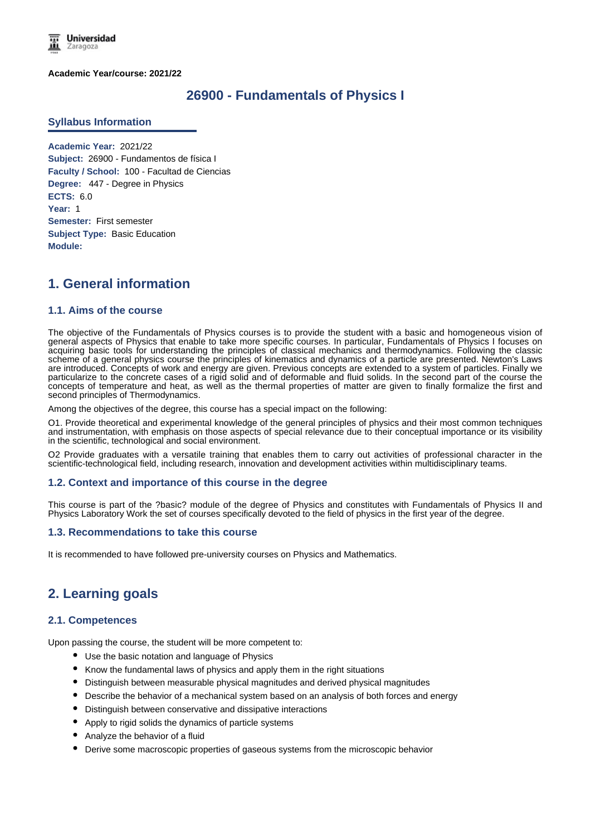

**Academic Year/course: 2021/22**

## **26900 - Fundamentals of Physics I**

### **Syllabus Information**

**Academic Year:** 2021/22 **Subject:** 26900 - Fundamentos de física I **Faculty / School:** 100 - Facultad de Ciencias **Degree:** 447 - Degree in Physics **ECTS:** 6.0 **Year:** 1 **Semester:** First semester **Subject Type:** Basic Education **Module:**

# **1. General information**

### **1.1. Aims of the course**

The objective of the Fundamentals of Physics courses is to provide the student with a basic and homogeneous vision of general aspects of Physics that enable to take more specific courses. In particular, Fundamentals of Physics I focuses on acquiring basic tools for understanding the principles of classical mechanics and thermodynamics. Following the classic scheme of a general physics course the principles of kinematics and dynamics of a particle are presented. Newton's Laws are introduced. Concepts of work and energy are given. Previous concepts are extended to a system of particles. Finally we particularize to the concrete cases of a rigid solid and of deformable and fluid solids. In the second part of the course the concepts of temperature and heat, as well as the thermal properties of matter are given to finally formalize the first and second principles of Thermodynamics.

Among the objectives of the degree, this course has a special impact on the following:

O1. Provide theoretical and experimental knowledge of the general principles of physics and their most common techniques and instrumentation, with emphasis on those aspects of special relevance due to their conceptual importance or its visibility in the scientific, technological and social environment.

O2 Provide graduates with a versatile training that enables them to carry out activities of professional character in the scientific-technological field, including research, innovation and development activities within multidisciplinary teams.

### **1.2. Context and importance of this course in the degree**

This course is part of the ?basic? module of the degree of Physics and constitutes with Fundamentals of Physics II and Physics Laboratory Work the set of courses specifically devoted to the field of physics in the first year of the degree.

### **1.3. Recommendations to take this course**

It is recommended to have followed pre-university courses on Physics and Mathematics.

# **2. Learning goals**

### **2.1. Competences**

Upon passing the course, the student will be more competent to:

- Use the basic notation and language of Physics
- Know the fundamental laws of physics and apply them in the right situations
- Distinguish between measurable physical magnitudes and derived physical magnitudes
- Describe the behavior of a mechanical system based on an analysis of both forces and energy
- Distinguish between conservative and dissipative interactions
- Apply to rigid solids the dynamics of particle systems
- Analyze the behavior of a fluid
- Derive some macroscopic properties of gaseous systems from the microscopic behavior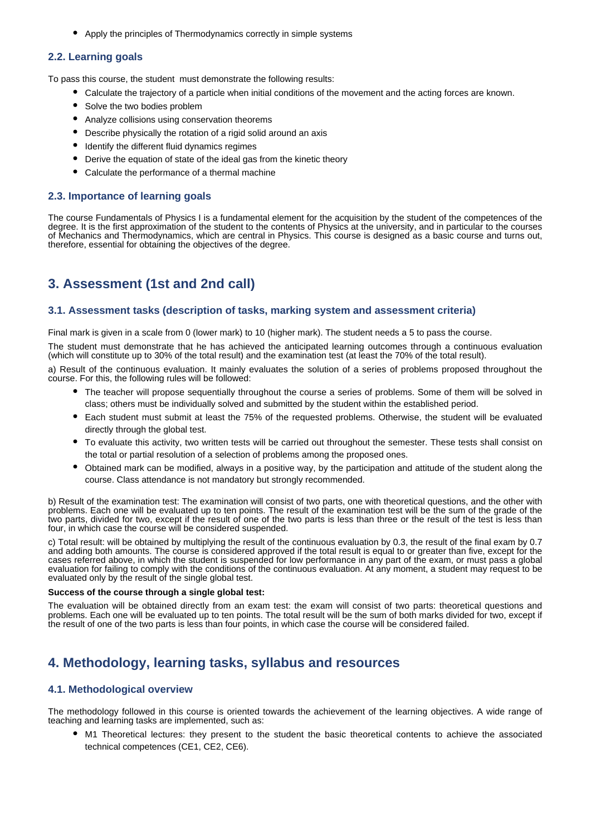Apply the principles of Thermodynamics correctly in simple systems

## **2.2. Learning goals**

To pass this course, the student must demonstrate the following results:

- Calculate the trajectory of a particle when initial conditions of the movement and the acting forces are known.
- Solve the two bodies problem
- Analyze collisions using conservation theorems
- Describe physically the rotation of a rigid solid around an axis
- $\bullet$  Identify the different fluid dynamics regimes
- Derive the equation of state of the ideal gas from the kinetic theory
- Calculate the performance of a thermal machine

## **2.3. Importance of learning goals**

The course Fundamentals of Physics I is a fundamental element for the acquisition by the student of the competences of the degree. It is the first approximation of the student to the contents of Physics at the university, and in particular to the courses of Mechanics and Thermodynamics, which are central in Physics. This course is designed as a basic course and turns out, therefore, essential for obtaining the objectives of the degree.

# **3. Assessment (1st and 2nd call)**

### **3.1. Assessment tasks (description of tasks, marking system and assessment criteria)**

Final mark is given in a scale from 0 (lower mark) to 10 (higher mark). The student needs a 5 to pass the course.

The student must demonstrate that he has achieved the anticipated learning outcomes through a continuous evaluation (which will constitute up to 30% of the total result) and the examination test (at least the 70% of the total result).

a) Result of the continuous evaluation. It mainly evaluates the solution of a series of problems proposed throughout the course. For this, the following rules will be followed:

- The teacher will propose sequentially throughout the course a series of problems. Some of them will be solved in class; others must be individually solved and submitted by the student within the established period.
- Each student must submit at least the 75% of the requested problems. Otherwise, the student will be evaluated directly through the global test.
- To evaluate this activity, two written tests will be carried out throughout the semester. These tests shall consist on the total or partial resolution of a selection of problems among the proposed ones.
- Obtained mark can be modified, always in a positive way, by the participation and attitude of the student along the course. Class attendance is not mandatory but strongly recommended.

b) Result of the examination test: The examination will consist of two parts, one with theoretical questions, and the other with problems. Each one will be evaluated up to ten points. The result of the examination test will be the sum of the grade of the two parts, divided for two, except if the result of one of the two parts is less than three or the result of the test is less than four, in which case the course will be considered suspended.

c) Total result: will be obtained by multiplying the result of the continuous evaluation by 0.3, the result of the final exam by 0.7 and adding both amounts. The course is considered approved if the total result is equal to or greater than five, except for the cases referred above, in which the student is suspended for low performance in any part of the exam, or must pass a global evaluation for failing to comply with the conditions of the continuous evaluation. At any moment, a student may request to be evaluated only by the result of the single global test.

### **Success of the course through a single global test:**

The evaluation will be obtained directly from an exam test: the exam will consist of two parts: theoretical questions and problems. Each one will be evaluated up to ten points. The total result will be the sum of both marks divided for two, except if the result of one of the two parts is less than four points, in which case the course will be considered failed.

# **4. Methodology, learning tasks, syllabus and resources**

### **4.1. Methodological overview**

The methodology followed in this course is oriented towards the achievement of the learning objectives. A wide range of teaching and learning tasks are implemented, such as:

M1 Theoretical lectures: they present to the student the basic theoretical contents to achieve the associated technical competences (CE1, CE2, CE6).